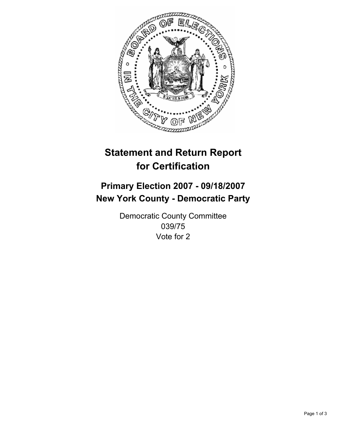

# **Statement and Return Report for Certification**

## **Primary Election 2007 - 09/18/2007 New York County - Democratic Party**

Democratic County Committee 039/75 Vote for 2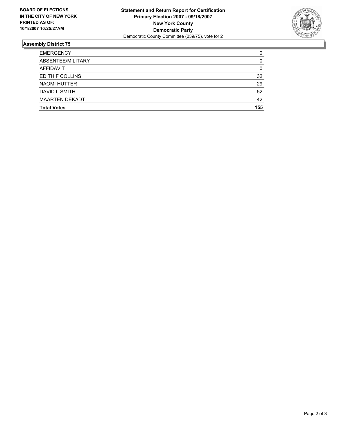

### **Assembly District 75**

| <b>EMERGENCY</b>       | 0   |
|------------------------|-----|
| ABSENTEE/MILITARY      |     |
| AFFIDAVIT              | 0   |
| <b>EDITH F COLLINS</b> | 32  |
| <b>NAOMI HUTTER</b>    | 29  |
| DAVID L SMITH          | 52  |
| <b>MAARTEN DEKADT</b>  | 42  |
| <b>Total Votes</b>     | 155 |